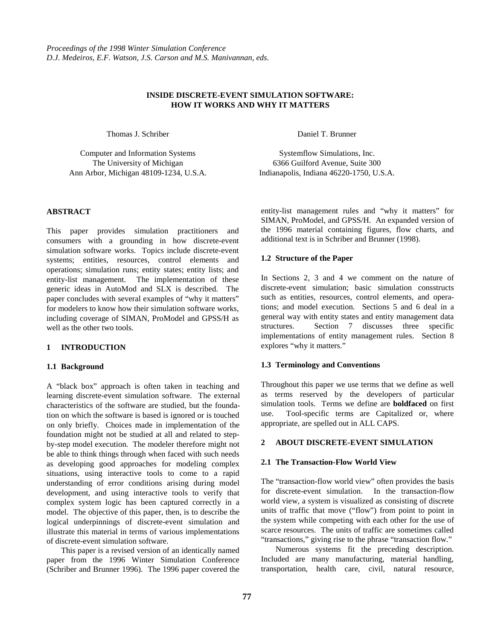## **INSIDE DISCRETE-EVENT SIMULATION SOFTWARE: HOW IT WORKS AND WHY IT MATTERS**

Thomas J. Schriber

Computer and Information Systems The University of Michigan Ann Arbor, Michigan 48109-1234, U.S.A.

### **ABSTRACT**

This paper provides simulation practitioners and consumers with a grounding in how discrete-event simulation software works. Topics include discrete-event systems; entities, resources, control elements and operations; simulation runs; entity states; entity lists; and entity-list management. The implementation of these generic ideas in AutoMod and SLX is described. The paper concludes with several examples of "why it matters" for modelers to know how their simulation software works, including coverage of SIMAN, ProModel and GPSS/H as well as the other two tools.

### **1 INTRODUCTION**

#### **1.1 Background**

A "black box" approach is often taken in teaching and learning discrete-event simulation software. The external characteristics of the software are studied, but the foundation on which the software is based is ignored or is touched on only briefly. Choices made in implementation of the foundation might not be studied at all and related to stepby-step model execution. The modeler therefore might not be able to think things through when faced with such needs as developing good approaches for modeling complex situations, using interactive tools to come to a rapid understanding of error conditions arising during model development, and using interactive tools to verify that complex system logic has been captured correctly in a model. The objective of this paper, then, is to describe the logical underpinnings of discrete-event simulation and illustrate this material in terms of various implementations of discrete-event simulation software.

This paper is a revised version of an identically named paper from the 1996 Winter Simulation Conference (Schriber and Brunner 1996). The 1996 paper covered the

Daniel T. Brunner

Systemflow Simulations, Inc. 6366 Guilford Avenue, Suite 300 Indianapolis, Indiana 46220-1750, U.S.A.

entity-list management rules and "why it matters" for SIMAN, ProModel, and GPSS/H. An expanded version of the 1996 material containing figures, flow charts, and additional text is in Schriber and Brunner (1998).

#### **1.2 Structure of the Paper**

In Sections 2, 3 and 4 we comment on the nature of discrete-event simulation; basic simulation consstructs such as entities, resources, control elements, and operations; and model execution. Sections 5 and 6 deal in a general way with entity states and entity management data structures. Section 7 discusses three specific implementations of entity management rules. Section 8 explores "why it matters."

#### **1.3 Terminology and Conventions**

Throughout this paper we use terms that we define as well as terms reserved by the developers of particular simulation tools. Terms we define are **boldfaced** on first use. Tool-specific terms are Capitalized or, where appropriate, are spelled out in ALL CAPS.

### **2 ABOUT DISCRETE-EVENT SIMULATION**

### **2.1 The Transaction-Flow World View**

The "transaction-flow world view" often provides the basis for discrete-event simulation. In the transaction-flow world view, a system is visualized as consisting of discrete units of traffic that move ("flow") from point to point in the system while competing with each other for the use of scarce resources. The units of traffic are sometimes called "transactions," giving rise to the phrase "transaction flow."

Numerous systems fit the preceding description. Included are many manufacturing, material handling, transportation, health care, civil, natural resource,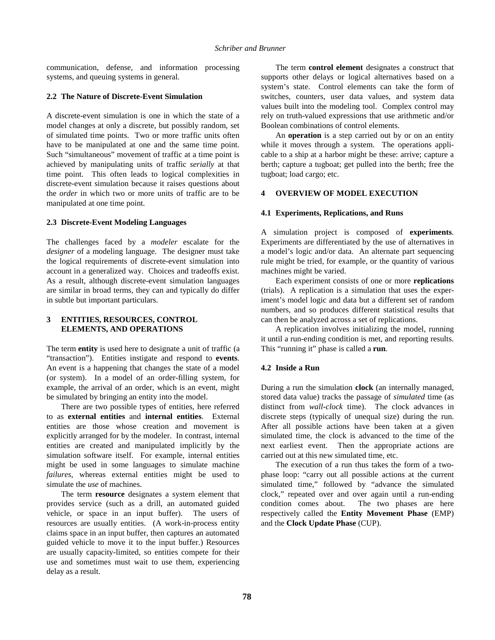communication, defense, and information processing systems, and queuing systems in general.

# **2.2 The Nature of Discrete-Event Simulation**

A discrete-event simulation is one in which the state of a model changes at only a discrete, but possibly random, set of simulated time points. Two or more traffic units often have to be manipulated at one and the same time point. Such "simultaneous" movement of traffic at a time point is achieved by manipulating units of traffic *serially* at that time point. This often leads to logical complexities in discrete-event simulation because it raises questions about the *order* in which two or more units of traffic are to be manipulated at one time point.

# **2.3 Discrete-Event Modeling Languages**

The challenges faced by a *modeler* escalate for the *designer* of a modeling language. The designer must take the logical requirements of discrete-event simulation into account in a generalized way. Choices and tradeoffs exist. As a result, although discrete-event simulation languages are similar in broad terms, they can and typically do differ in subtle but important particulars.

# **3 ENTITIES, RESOURCES, CONTROL ELEMENTS, AND OPERATIONS**

The term **entity** is used here to designate a unit of traffic (a "transaction"). Entities instigate and respond to **events**. An event is a happening that changes the state of a model (or system). In a model of an order-filling system, for example, the arrival of an order, which is an event, might be simulated by bringing an entity into the model.

There are two possible types of entities, here referred to as **external entities** and **internal entities**. External entities are those whose creation and movement is explicitly arranged for by the modeler. In contrast, internal entities are created and manipulated implicitly by the simulation software itself. For example, internal entities might be used in some languages to simulate machine *failures*, whereas external entities might be used to simulate the *use* of machines.

The term **resource** designates a system element that provides service (such as a drill, an automated guided vehicle, or space in an input buffer). The users of resources are usually entities. (A work-in-process entity claims space in an input buffer, then captures an automated guided vehicle to move it to the input buffer.) Resources are usually capacity-limited, so entities compete for their use and sometimes must wait to use them, experiencing delay as a result.

The term **control element** designates a construct that supports other delays or logical alternatives based on a system's state. Control elements can take the form of switches, counters, user data values, and system data values built into the modeling tool. Complex control may rely on truth-valued expressions that use arithmetic and/or Boolean combinations of control elements.

An **operation** is a step carried out by or on an entity while it moves through a system. The operations applicable to a ship at a harbor might be these: arrive; capture a berth; capture a tugboat; get pulled into the berth; free the tugboat; load cargo; etc.

# **4 OVERVIEW OF MODEL EXECUTION**

# **4.1 Experiments, Replications, and Runs**

A simulation project is composed of **experiments**. Experiments are differentiated by the use of alternatives in a model's logic and/or data. An alternate part sequencing rule might be tried, for example, or the quantity of various machines might be varied.

Each experiment consists of one or more **replications** (trials). A replication is a simulation that uses the experiment's model logic and data but a different set of random numbers, and so produces different statistical results that can then be analyzed across a set of replications.

A replication involves initializing the model, running it until a run-ending condition is met, and reporting results. This "running it" phase is called a **run**.

# **4.2 Inside a Run**

During a run the simulation **clock** (an internally managed, stored data value) tracks the passage of *simulated* time (as distinct from *wall-clock* time). The clock advances in discrete steps (typically of unequal size) during the run. After all possible actions have been taken at a given simulated time, the clock is advanced to the time of the next earliest event. Then the appropriate actions are carried out at this new simulated time, etc.

The execution of a run thus takes the form of a twophase loop: "carry out all possible actions at the current simulated time," followed by "advance the simulated clock," repeated over and over again until a run-ending condition comes about. The two phases are here respectively called the **Entity Movement Phase** (EMP) and the **Clock Update Phase** (CUP).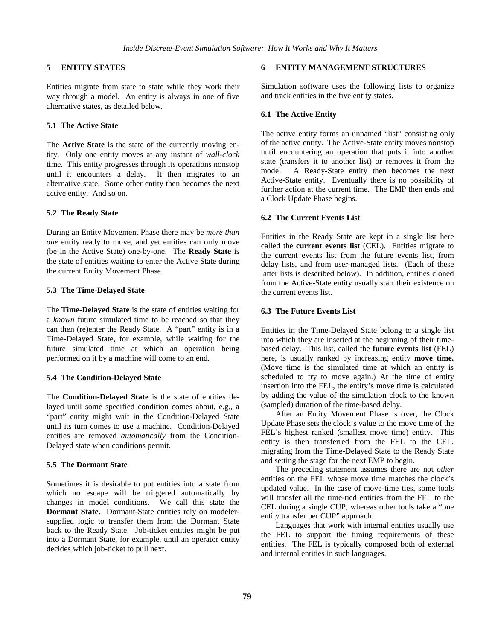# **5 ENTITY STATES**

Entities migrate from state to state while they work their way through a model. An entity is always in one of five alternative states, as detailed below.

### **5.1 The Active State**

The **Active State** is the state of the currently moving entity. Only one entity moves at any instant of *wall-clock* time. This entity progresses through its operations nonstop until it encounters a delay. It then migrates to an alternative state. Some other entity then becomes the next active entity. And so on.

## **5.2 The Ready State**

During an Entity Movement Phase there may be *more than one* entity ready to move, and yet entities can only move (be in the Active State) one-by-one. The **Ready State** is the state of entities waiting to enter the Active State during the current Entity Movement Phase.

## **5.3 The Time-Delayed State**

The **Time-Delayed State** is the state of entities waiting for a *known* future simulated time to be reached so that they can then (re)enter the Ready State. A "part" entity is in a Time-Delayed State, for example, while waiting for the future simulated time at which an operation being performed on it by a machine will come to an end.

# **5.4 The Condition-Delayed State**

The **Condition-Delayed State** is the state of entities delayed until some specified condition comes about, e.g., a "part" entity might wait in the Condition-Delayed State until its turn comes to use a machine. Condition-Delayed entities are removed *automatically* from the Condition-Delayed state when conditions permit.

# **5.5 The Dormant State**

Sometimes it is desirable to put entities into a state from which no escape will be triggered automatically by changes in model conditions. We call this state the **Dormant State.** Dormant-State entities rely on modelersupplied logic to transfer them from the Dormant State back to the Ready State. Job-ticket entities might be put into a Dormant State, for example, until an operator entity decides which job-ticket to pull next.

### **6 ENTITY MANAGEMENT STRUCTURES**

Simulation software uses the following lists to organize and track entities in the five entity states.

### **6.1 The Active Entity**

The active entity forms an unnamed "list" consisting only of the active entity. The Active-State entity moves nonstop until encountering an operation that puts it into another state (transfers it to another list) or removes it from the model. A Ready-State entity then becomes the next Active-State entity. Eventually there is no possibility of further action at the current time. The EMP then ends and a Clock Update Phase begins.

## **6.2 The Current Events List**

Entities in the Ready State are kept in a single list here called the **current events list** (CEL). Entities migrate to the current events list from the future events list, from delay lists, and from user-managed lists. (Each of these latter lists is described below). In addition, entities cloned from the Active-State entity usually start their existence on the current events list.

## **6.3 The Future Events List**

Entities in the Time-Delayed State belong to a single list into which they are inserted at the beginning of their timebased delay. This list, called the **future events list** (FEL) here, is usually ranked by increasing entity **move time.** (Move time is the simulated time at which an entity is scheduled to try to move again.) At the time of entity insertion into the FEL, the entity's move time is calculated by adding the value of the simulation clock to the known (sampled) duration of the time-based delay.

After an Entity Movement Phase is over, the Clock Update Phase sets the clock's value to the move time of the FEL's highest ranked (smallest move time) entity. This entity is then transferred from the FEL to the CEL, migrating from the Time-Delayed State to the Ready State and setting the stage for the next EMP to begin.

The preceding statement assumes there are not *other* entities on the FEL whose move time matches the clock's updated value. In the case of move-time ties, some tools will transfer all the time-tied entities from the FEL to the CEL during a single CUP, whereas other tools take a "one entity transfer per CUP" approach.

Languages that work with internal entities usually use the FEL to support the timing requirements of these entities. The FEL is typically composed both of external and internal entities in such languages.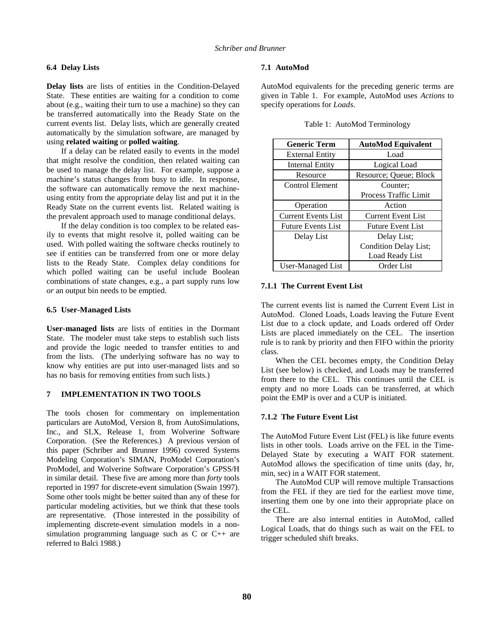#### **6.4 Delay Lists**

**Delay lists** are lists of entities in the Condition-Delayed State. These entities are waiting for a condition to come about (e.g., waiting their turn to use a machine) so they can be transferred automatically into the Ready State on the current events list. Delay lists, which are generally created automatically by the simulation software, are managed by using **related waiting** or **polled waiting**.

If a delay can be related easily to events in the model that might resolve the condition, then related waiting can be used to manage the delay list. For example, suppose a machine's status changes from busy to idle. In response, the software can automatically remove the next machineusing entity from the appropriate delay list and put it in the Ready State on the current events list. Related waiting is the prevalent approach used to manage conditional delays.

If the delay condition is too complex to be related easily to events that might resolve it, polled waiting can be used. With polled waiting the software checks routinely to see if entities can be transferred from one or more delay lists to the Ready State. Complex delay conditions for which polled waiting can be useful include Boolean combinations of state changes, e.g., a part supply runs low *or* an output bin needs to be emptied.

#### **6.5 User-Managed Lists**

**User-managed lists** are lists of entities in the Dormant State. The modeler must take steps to establish such lists and provide the logic needed to transfer entities to and from the lists. (The underlying software has no way to know why entities are put into user-managed lists and so has no basis for removing entities from such lists.)

#### **7 IMPLEMENTATION IN TWO TOOLS**

The tools chosen for commentary on implementation particulars are AutoMod, Version 8, from AutoSimulations, Inc., and SLX, Release 1, from Wolverine Software Corporation. (See the References.) A previous version of this paper (Schriber and Brunner 1996) covered Systems Modeling Corporation's SIMAN, ProModel Corporation's ProModel, and Wolverine Software Corporation's GPSS/H in similar detail. These five are among more than *forty* tools reported in 1997 for discrete-event simulation (Swain 1997). Some other tools might be better suited than any of these for particular modeling activities, but we think that these tools are representative. (Those interested in the possibility of implementing discrete-event simulation models in a nonsimulation programming language such as C or C++ are referred to Balci 1988.)

#### **7.1 AutoMod**

AutoMod equivalents for the preceding generic terms are given in Table 1. For example, AutoMod uses *Actions* to specify operations for *Loads*.

|  |  | Table 1: AutoMod Terminology |
|--|--|------------------------------|
|--|--|------------------------------|

| <b>Generic Term</b>        | <b>AutoMod Equivalent</b> |
|----------------------------|---------------------------|
| <b>External Entity</b>     | Load                      |
| <b>Internal Entity</b>     | Logical Load              |
| Resource                   | Resource; Queue; Block    |
| Control Element            | Counter:                  |
|                            | Process Traffic Limit     |
| Operation                  | Action                    |
| <b>Current Events List</b> | <b>Current Event List</b> |
| <b>Future Events List</b>  | <b>Future Event List</b>  |
| Delay List                 | Delay List;               |
|                            | Condition Delay List;     |
|                            | Load Ready List           |
| User-Managed List          | Order List                |

### **7.1.1 The Current Event List**

The current events list is named the Current Event List in AutoMod. Cloned Loads, Loads leaving the Future Event List due to a clock update, and Loads ordered off Order Lists are placed immediately on the CEL. The insertion rule is to rank by priority and then FIFO within the priority class.

When the CEL becomes empty, the Condition Delay List (see below) is checked, and Loads may be transferred from there to the CEL. This continues until the CEL is empty and no more Loads can be transferred, at which point the EMP is over and a CUP is initiated.

### **7.1.2 The Future Event List**

The AutoMod Future Event List (FEL) is like future events lists in other tools. Loads arrive on the FEL in the Time-Delayed State by executing a WAIT FOR statement. AutoMod allows the specification of time units (day, hr, min, sec) in a WAIT FOR statement.

The AutoMod CUP will remove multiple Transactions from the FEL if they are tied for the earliest move time, inserting them one by one into their appropriate place on the CEL.

There are also internal entities in AutoMod, called Logical Loads, that do things such as wait on the FEL to trigger scheduled shift breaks.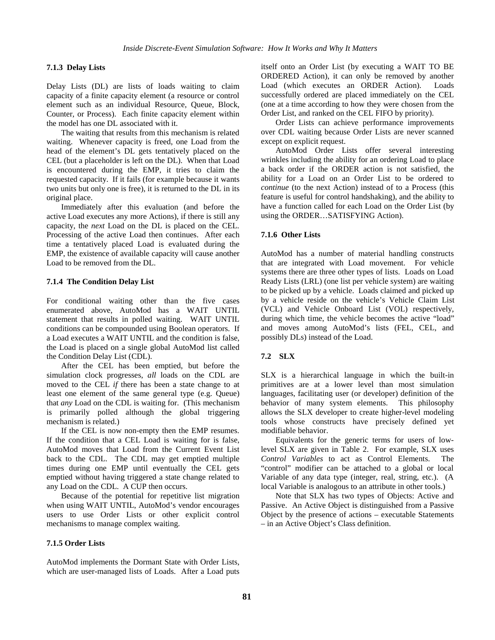### **7.1.3 Delay Lists**

Delay Lists (DL) are lists of loads waiting to claim capacity of a finite capacity element (a resource or control element such as an individual Resource, Queue, Block, Counter, or Process). Each finite capacity element within the model has one DL associated with it.

The waiting that results from this mechanism is related waiting. Whenever capacity is freed, one Load from the head of the element's DL gets tentatively placed on the CEL (but a placeholder is left on the DL). When that Load is encountered during the EMP, it tries to claim the requested capacity. If it fails (for example because it wants two units but only one is free), it is returned to the DL in its original place.

Immediately after this evaluation (and before the active Load executes any more Actions), if there is still any capacity, the *next* Load on the DL is placed on the CEL. Processing of the active Load then continues. After each time a tentatively placed Load is evaluated during the EMP, the existence of available capacity will cause another Load to be removed from the DL.

## **7.1.4 The Condition Delay List**

For conditional waiting other than the five cases enumerated above, AutoMod has a WAIT UNTIL statement that results in polled waiting. WAIT UNTIL conditions can be compounded using Boolean operators. If a Load executes a WAIT UNTIL and the condition is false, the Load is placed on a single global AutoMod list called the Condition Delay List (CDL).

After the CEL has been emptied, but before the simulation clock progresses, *all* loads on the CDL are moved to the CEL *if* there has been a state change to at least one element of the same general type (e.g. Queue) that *any* Load on the CDL is waiting for. (This mechanism is primarily polled although the global triggering mechanism is related.)

If the CEL is now non-empty then the EMP resumes. If the condition that a CEL Load is waiting for is false, AutoMod moves that Load from the Current Event List back to the CDL. The CDL may get emptied multiple times during one EMP until eventually the CEL gets emptied without having triggered a state change related to any Load on the CDL. A CUP then occurs.

Because of the potential for repetitive list migration when using WAIT UNTIL, AutoMod's vendor encourages users to use Order Lists or other explicit control mechanisms to manage complex waiting.

# **7.1.5 Order Lists**

AutoMod implements the Dormant State with Order Lists, which are user-managed lists of Loads. After a Load puts itself onto an Order List (by executing a WAIT TO BE ORDERED Action), it can only be removed by another Load (which executes an ORDER Action). Loads successfully ordered are placed immediately on the CEL (one at a time according to how they were chosen from the Order List, and ranked on the CEL FIFO by priority).

Order Lists can achieve performance improvements over CDL waiting because Order Lists are never scanned except on explicit request.

AutoMod Order Lists offer several interesting wrinkles including the ability for an ordering Load to place a back order if the ORDER action is not satisfied, the ability for a Load on an Order List to be ordered to *continue* (to the next Action) instead of to a Process (this feature is useful for control handshaking), and the ability to have a function called for each Load on the Order List (by using the ORDER…SATISFYING Action).

## **7.1.6 Other Lists**

AutoMod has a number of material handling constructs that are integrated with Load movement. For vehicle systems there are three other types of lists. Loads on Load Ready Lists (LRL) (one list per vehicle system) are waiting to be picked up by a vehicle. Loads claimed and picked up by a vehicle reside on the vehicle's Vehicle Claim List (VCL) and Vehicle Onboard List (VOL) respectively, during which time, the vehicle becomes the active "load" and moves among AutoMod's lists (FEL, CEL, and possibly DLs) instead of the Load.

# **7.2 SLX**

SLX is a hierarchical language in which the built-in primitives are at a lower level than most simulation languages, facilitating user (or developer) definition of the behavior of many system elements. This philosophy allows the SLX developer to create higher-level modeling tools whose constructs have precisely defined yet modifiable behavior.

Equivalents for the generic terms for users of lowlevel SLX are given in Table 2. For example, SLX uses *Control Variables* to act as Control Elements. The "control" modifier can be attached to a global or local Variable of any data type (integer, real, string, etc.). (A local Variable is analogous to an attribute in other tools.)

Note that SLX has two types of Objects: Active and Passive. An Active Object is distinguished from a Passive Object by the presence of actions – executable Statements – in an Active Object's Class definition.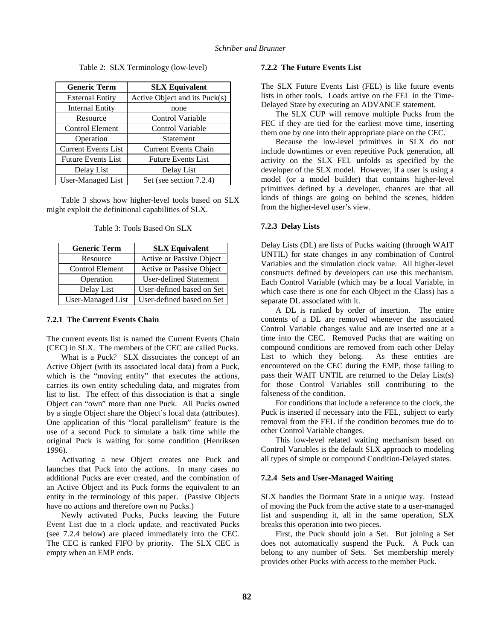| <b>Generic Term</b>        | <b>SLX Equivalent</b>         |
|----------------------------|-------------------------------|
| <b>External Entity</b>     | Active Object and its Puck(s) |
| <b>Internal Entity</b>     | none                          |
| Resource                   | Control Variable              |
| Control Element            | Control Variable              |
| Operation                  | Statement                     |
| <b>Current Events List</b> | <b>Current Events Chain</b>   |
| <b>Future Events List</b>  | <b>Future Events List</b>     |
| Delay List                 | Delay List                    |
| <b>User-Managed List</b>   | Set (see section 7.2.4)       |

Table 2: SLX Terminology (low-level)

Table 3 shows how higher-level tools based on SLX might exploit the definitional capabilities of SLX.

| <b>Generic Term</b>      | <b>SLX Equivalent</b>     |
|--------------------------|---------------------------|
| Resource                 | Active or Passive Object  |
| <b>Control Element</b>   | Active or Passive Object  |
| Operation                | User-defined Statement    |
| Delay List               | User-defined based on Set |
| <b>User-Managed List</b> | User-defined based on Set |

Table 3: Tools Based On SLX

### **7.2.1 The Current Events Chain**

The current events list is named the Current Events Chain (CEC) in SLX. The members of the CEC are called Pucks.

What is a Puck? SLX dissociates the concept of an Active Object (with its associated local data) from a Puck, which is the "moving entity" that executes the actions, carries its own entity scheduling data, and migrates from list to list. The effect of this dissociation is that a single Object can "own" more than one Puck. All Pucks owned by a single Object share the Object's local data (attributes). One application of this "local parallelism" feature is the use of a second Puck to simulate a balk time while the original Puck is waiting for some condition (Henriksen 1996).

Activating a new Object creates one Puck and launches that Puck into the actions. In many cases no additional Pucks are ever created, and the combination of an Active Object and its Puck forms the equivalent to an entity in the terminology of this paper. (Passive Objects have no actions and therefore own no Pucks.)

Newly activated Pucks, Pucks leaving the Future Event List due to a clock update, and reactivated Pucks (see 7.2.4 below) are placed immediately into the CEC. The CEC is ranked FIFO by priority. The SLX CEC is empty when an EMP ends.

## **7.2.2 The Future Events List**

The SLX Future Events List (FEL) is like future events lists in other tools. Loads arrive on the FEL in the Time-Delayed State by executing an ADVANCE statement.

The SLX CUP will remove multiple Pucks from the FEC if they are tied for the earliest move time, inserting them one by one into their appropriate place on the CEC.

Because the low-level primitives in SLX do not include downtimes or even repetitive Puck generation, all activity on the SLX FEL unfolds as specified by the developer of the SLX model. However, if a user is using a model (or a model builder) that contains higher-level primitives defined by a developer, chances are that all kinds of things are going on behind the scenes, hidden from the higher-level user's view.

## **7.2.3 Delay Lists**

Delay Lists (DL) are lists of Pucks waiting (through WAIT UNTIL) for state changes in any combination of Control Variables and the simulation clock value. All higher-level constructs defined by developers can use this mechanism. Each Control Variable (which may be a local Variable, in which case there is one for each Object in the Class) has a separate DL associated with it.

A DL is ranked by order of insertion. The entire contents of a DL are removed whenever the associated Control Variable changes value and are inserted one at a time into the CEC. Removed Pucks that are waiting on compound conditions are removed from each other Delay List to which they belong. As these entities are encountered on the CEC during the EMP, those failing to pass their WAIT UNTIL are returned to the Delay List(s) for those Control Variables still contributing to the falseness of the condition.

For conditions that include a reference to the clock, the Puck is inserted if necessary into the FEL, subject to early removal from the FEL if the condition becomes true do to other Control Variable changes.

This low-level related waiting mechanism based on Control Variables is the default SLX approach to modeling all types of simple or compound Condition-Delayed states.

### **7.2.4 Sets and User-Managed Waiting**

SLX handles the Dormant State in a unique way. Instead of moving the Puck from the active state to a user-managed list and suspending it, all in the same operation, SLX breaks this operation into two pieces.

First, the Puck should join a Set. But joining a Set does not automatically suspend the Puck. A Puck can belong to any number of Sets. Set membership merely provides other Pucks with access to the member Puck.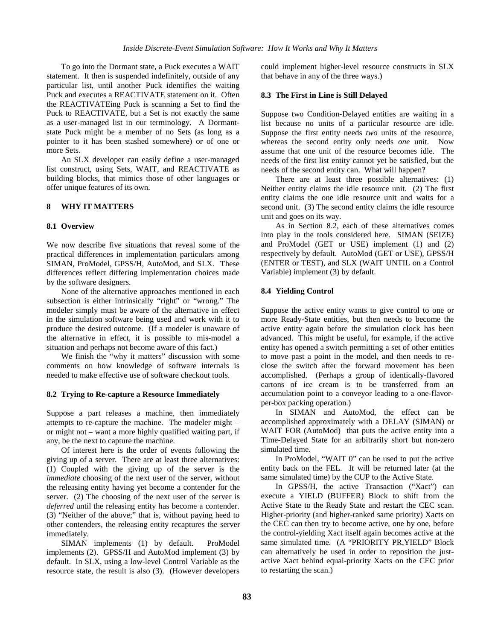To go into the Dormant state, a Puck executes a WAIT statement. It then is suspended indefinitely, outside of any particular list, until another Puck identifies the waiting Puck and executes a REACTIVATE statement on it. Often the REACTIVATEing Puck is scanning a Set to find the Puck to REACTIVATE, but a Set is not exactly the same as a user-managed list in our terminology. A Dormantstate Puck might be a member of no Sets (as long as a pointer to it has been stashed somewhere) or of one or more Sets.

An SLX developer can easily define a user-managed list construct, using Sets, WAIT, and REACTIVATE as building blocks, that mimics those of other languages or offer unique features of its own.

#### **8 WHY IT MATTERS**

#### **8.1 Overview**

We now describe five situations that reveal some of the practical differences in implementation particulars among SIMAN, ProModel, GPSS/H, AutoMod, and SLX. These differences reflect differing implementation choices made by the software designers.

None of the alternative approaches mentioned in each subsection is either intrinsically "right" or "wrong." The modeler simply must be aware of the alternative in effect in the simulation software being used and work with it to produce the desired outcome. (If a modeler is unaware of the alternative in effect, it is possible to mis-model a situation and perhaps not become aware of this fact.)

We finish the "why it matters" discussion with some comments on how knowledge of software internals is needed to make effective use of software checkout tools.

#### **8.2 Trying to Re-capture a Resource Immediately**

Suppose a part releases a machine, then immediately attempts to re-capture the machine. The modeler might – or might not – want a more highly qualified waiting part, if any, be the next to capture the machine.

Of interest here is the order of events following the giving up of a server. There are at least three alternatives: (1) Coupled with the giving up of the server is the *immediate* choosing of the next user of the server, without the releasing entity having yet become a contender for the server. (2) The choosing of the next user of the server is *deferred* until the releasing entity has become a contender. (3) "Neither of the above;" that is, without paying heed to other contenders, the releasing entity recaptures the server immediately.

SIMAN implements (1) by default. ProModel implements (2). GPSS/H and AutoMod implement (3) by default. In SLX, using a low-level Control Variable as the resource state, the result is also (3). (However developers could implement higher-level resource constructs in SLX that behave in any of the three ways.)

#### **8.3 The First in Line is Still Delayed**

Suppose two Condition-Delayed entities are waiting in a list because no units of a particular resource are idle. Suppose the first entity needs *two* units of the resource, whereas the second entity only needs *one* unit. Now assume that one unit of the resource becomes idle. The needs of the first list entity cannot yet be satisfied, but the needs of the second entity can. What will happen?

There are at least three possible alternatives: (1) Neither entity claims the idle resource unit. (2) The first entity claims the one idle resource unit and waits for a second unit. (3) The second entity claims the idle resource unit and goes on its way.

As in Section 8.2, each of these alternatives comes into play in the tools considered here. SIMAN (SEIZE) and ProModel (GET or USE) implement (1) and (2) respectively by default. AutoMod (GET or USE), GPSS/H (ENTER or TEST), and SLX (WAIT UNTIL on a Control Variable) implement (3) by default.

#### **8.4 Yielding Control**

Suppose the active entity wants to give control to one or more Ready-State entities, but then needs to become the active entity again before the simulation clock has been advanced. This might be useful, for example, if the active entity has opened a switch permitting a set of other entities to move past a point in the model, and then needs to reclose the switch after the forward movement has been accomplished. (Perhaps a group of identically-flavored cartons of ice cream is to be transferred from an accumulation point to a conveyor leading to a one-flavorper-box packing operation.)

In SIMAN and AutoMod, the effect can be accomplished approximately with a DELAY (SIMAN) or WAIT FOR (AutoMod) that puts the active entity into a Time-Delayed State for an arbitrarily short but non-zero simulated time.

In ProModel, "WAIT 0" can be used to put the active entity back on the FEL. It will be returned later (at the same simulated time) by the CUP to the Active State.

In GPSS/H, the active Transaction ("Xact") can execute a YIELD (BUFFER) Block to shift from the Active State to the Ready State and restart the CEC scan. Higher-priority (and higher-ranked same priority) Xacts on the CEC can then try to become active, one by one, before the control-yielding Xact itself again becomes active at the same simulated time. (A "PRIORITY PR,YIELD" Block can alternatively be used in order to reposition the justactive Xact behind equal-priority Xacts on the CEC prior to restarting the scan.)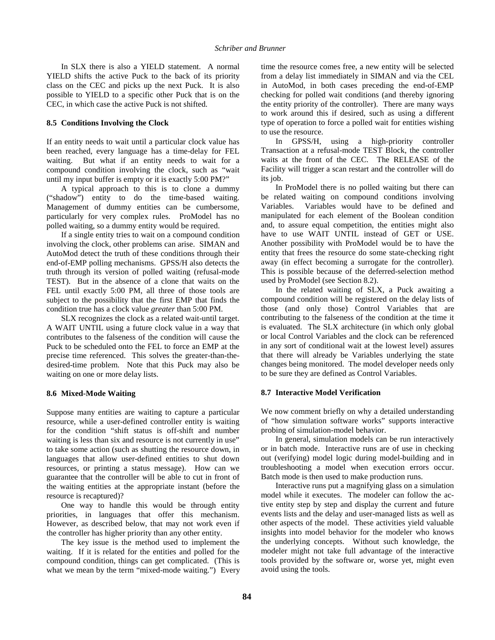In SLX there is also a YIELD statement. A normal YIELD shifts the active Puck to the back of its priority class on the CEC and picks up the next Puck. It is also possible to YIELD to a specific other Puck that is on the CEC, in which case the active Puck is not shifted.

#### **8.5 Conditions Involving the Clock**

If an entity needs to wait until a particular clock value has been reached, every language has a time-delay for FEL waiting. But what if an entity needs to wait for a compound condition involving the clock, such as "wait until my input buffer is empty or it is exactly 5:00 PM?"

A typical approach to this is to clone a dummy ("shadow") entity to do the time-based waiting. Management of dummy entities can be cumbersome, particularly for very complex rules. ProModel has no polled waiting, so a dummy entity would be required.

If a single entity tries to wait on a compound condition involving the clock, other problems can arise. SIMAN and AutoMod detect the truth of these conditions through their end-of-EMP polling mechanisms. GPSS/H also detects the truth through its version of polled waiting (refusal-mode TEST). But in the absence of a clone that waits on the FEL until exactly 5:00 PM, all three of those tools are subject to the possibility that the first EMP that finds the condition true has a clock value *greater* than 5:00 PM.

SLX recognizes the clock as a related wait-until target. A WAIT UNTIL using a future clock value in a way that contributes to the falseness of the condition will cause the Puck to be scheduled onto the FEL to force an EMP at the precise time referenced. This solves the greater-than-thedesired-time problem. Note that this Puck may also be waiting on one or more delay lists.

### **8.6 Mixed-Mode Waiting**

Suppose many entities are waiting to capture a particular resource, while a user-defined controller entity is waiting for the condition "shift status is off-shift and number waiting is less than six and resource is not currently in use" to take some action (such as shutting the resource down, in languages that allow user-defined entities to shut down resources, or printing a status message). How can we guarantee that the controller will be able to cut in front of the waiting entities at the appropriate instant (before the resource is recaptured)?

One way to handle this would be through entity priorities, in languages that offer this mechanism. However, as described below, that may not work even if the controller has higher priority than any other entity.

The key issue is the method used to implement the waiting. If it is related for the entities and polled for the compound condition, things can get complicated. (This is what we mean by the term "mixed-mode waiting.") Every time the resource comes free, a new entity will be selected from a delay list immediately in SIMAN and via the CEL in AutoMod, in both cases preceding the end-of-EMP checking for polled wait conditions (and thereby ignoring the entity priority of the controller). There are many ways to work around this if desired, such as using a different type of operation to force a polled wait for entities wishing to use the resource.

In GPSS/H, using a high-priority controller Transaction at a refusal-mode TEST Block, the controller waits at the front of the CEC. The RELEASE of the Facility will trigger a scan restart and the controller will do its job.

In ProModel there is no polled waiting but there can be related waiting on compound conditions involving Variables. Variables would have to be defined and manipulated for each element of the Boolean condition and, to assure equal competition, the entities might also have to use WAIT UNTIL instead of GET or USE. Another possibility with ProModel would be to have the entity that frees the resource do some state-checking right away (in effect becoming a surrogate for the controller). This is possible because of the deferred-selection method used by ProModel (see Section 8.2).

In the related waiting of SLX, a Puck awaiting a compound condition will be registered on the delay lists of those (and only those) Control Variables that are contributing to the falseness of the condition at the time it is evaluated. The SLX architecture (in which only global or local Control Variables and the clock can be referenced in any sort of conditional wait at the lowest level) assures that there will already be Variables underlying the state changes being monitored. The model developer needs only to be sure they are defined as Control Variables.

### **8.7 Interactive Model Verification**

We now comment briefly on why a detailed understanding of "how simulation software works" supports interactive probing of simulation-model behavior.

In general, simulation models can be run interactively or in batch mode. Interactive runs are of use in checking out (verifying) model logic during model-building and in troubleshooting a model when execution errors occur. Batch mode is then used to make production runs.

Interactive runs put a magnifying glass on a simulation model while it executes. The modeler can follow the active entity step by step and display the current and future events lists and the delay and user-managed lists as well as other aspects of the model. These activities yield valuable insights into model behavior for the modeler who knows the underlying concepts. Without such knowledge, the modeler might not take full advantage of the interactive tools provided by the software or, worse yet, might even avoid using the tools.